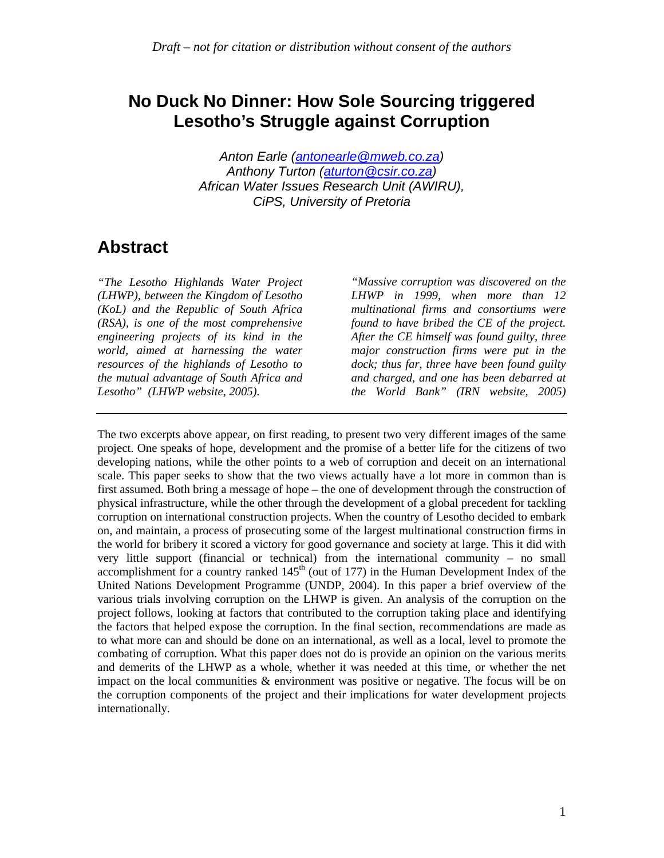### **No Duck No Dinner: How Sole Sourcing triggered Lesotho's Struggle against Corruption**

*Anton Earle (antonearle@mweb.co.za) Anthony Turton (aturton@csir.co.za) African Water Issues Research Unit (AWIRU), CiPS, University of Pretoria* 

### **Abstract**

*"The Lesotho Highlands Water Project (LHWP), between the Kingdom of Lesotho (KoL) and the Republic of South Africa (RSA), is one of the most comprehensive engineering projects of its kind in the world, aimed at harnessing the water resources of the highlands of Lesotho to the mutual advantage of South Africa and Lesotho" (LHWP website, 2005).* 

*"Massive corruption was discovered on the LHWP in 1999, when more than 12 multinational firms and consortiums were found to have bribed the CE of the project. After the CE himself was found guilty, three major construction firms were put in the dock; thus far, three have been found guilty and charged, and one has been debarred at the World Bank" (IRN website, 2005)*

The two excerpts above appear, on first reading, to present two very different images of the same project. One speaks of hope, development and the promise of a better life for the citizens of two developing nations, while the other points to a web of corruption and deceit on an international scale. This paper seeks to show that the two views actually have a lot more in common than is first assumed. Both bring a message of hope – the one of development through the construction of physical infrastructure, while the other through the development of a global precedent for tackling corruption on international construction projects. When the country of Lesotho decided to embark on, and maintain, a process of prosecuting some of the largest multinational construction firms in the world for bribery it scored a victory for good governance and society at large. This it did with very little support (financial or technical) from the international community – no small accomplishment for a country ranked  $145<sup>th</sup>$  (out of 177) in the Human Development Index of the United Nations Development Programme (UNDP, 2004). In this paper a brief overview of the various trials involving corruption on the LHWP is given. An analysis of the corruption on the project follows, looking at factors that contributed to the corruption taking place and identifying the factors that helped expose the corruption. In the final section, recommendations are made as to what more can and should be done on an international, as well as a local, level to promote the combating of corruption. What this paper does not do is provide an opinion on the various merits and demerits of the LHWP as a whole, whether it was needed at this time, or whether the net impact on the local communities & environment was positive or negative. The focus will be on the corruption components of the project and their implications for water development projects internationally.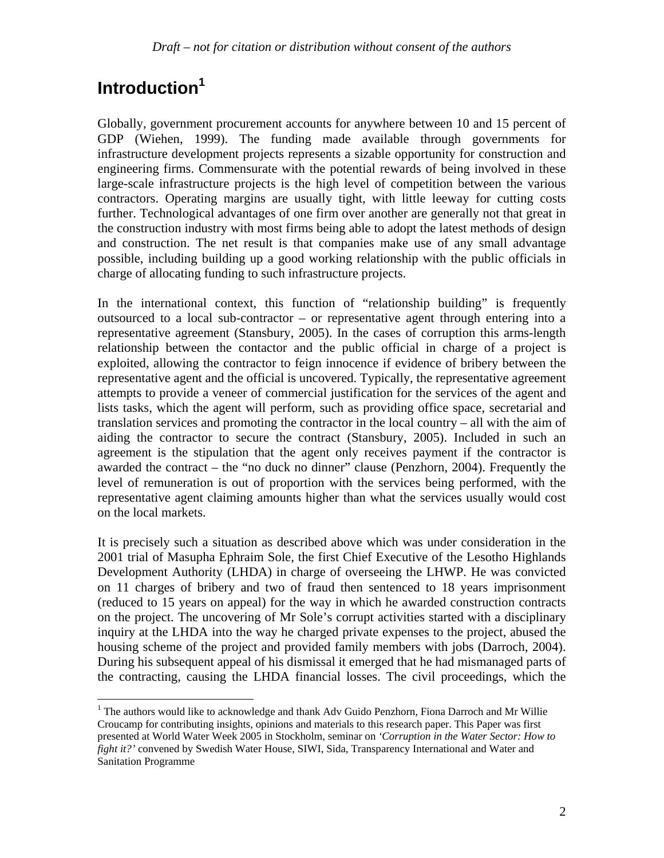# **Introduction1**

Globally, government procurement accounts for anywhere between 10 and 15 percent of GDP (Wiehen, 1999). The funding made available through governments for infrastructure development projects represents a sizable opportunity for construction and engineering firms. Commensurate with the potential rewards of being involved in these large-scale infrastructure projects is the high level of competition between the various contractors. Operating margins are usually tight, with little leeway for cutting costs further. Technological advantages of one firm over another are generally not that great in the construction industry with most firms being able to adopt the latest methods of design and construction. The net result is that companies make use of any small advantage possible, including building up a good working relationship with the public officials in charge of allocating funding to such infrastructure projects.

In the international context, this function of "relationship building" is frequently outsourced to a local sub-contractor – or representative agent through entering into a representative agreement (Stansbury, 2005). In the cases of corruption this arms-length relationship between the contactor and the public official in charge of a project is exploited, allowing the contractor to feign innocence if evidence of bribery between the representative agent and the official is uncovered. Typically, the representative agreement attempts to provide a veneer of commercial justification for the services of the agent and lists tasks, which the agent will perform, such as providing office space, secretarial and translation services and promoting the contractor in the local country – all with the aim of aiding the contractor to secure the contract (Stansbury, 2005). Included in such an agreement is the stipulation that the agent only receives payment if the contractor is awarded the contract – the "no duck no dinner" clause (Penzhorn, 2004). Frequently the level of remuneration is out of proportion with the services being performed, with the representative agent claiming amounts higher than what the services usually would cost on the local markets.

It is precisely such a situation as described above which was under consideration in the 2001 trial of Masupha Ephraim Sole, the first Chief Executive of the Lesotho Highlands Development Authority (LHDA) in charge of overseeing the LHWP. He was convicted on 11 charges of bribery and two of fraud then sentenced to 18 years imprisonment (reduced to 15 years on appeal) for the way in which he awarded construction contracts on the project. The uncovering of Mr Sole's corrupt activities started with a disciplinary inquiry at the LHDA into the way he charged private expenses to the project, abused the housing scheme of the project and provided family members with jobs (Darroch, 2004). During his subsequent appeal of his dismissal it emerged that he had mismanaged parts of the contracting, causing the LHDA financial losses. The civil proceedings, which the

<sup>&</sup>lt;sup>1</sup> The authors would like to acknowledge and thank Adv Guido Penzhorn, Fiona Darroch and Mr Willie Croucamp for contributing insights, opinions and materials to this research paper. This Paper was first presented at World Water Week 2005 in Stockholm, seminar on *'Corruption in the Water Sector: How to fight it?'* convened by Swedish Water House, SIWI, Sida, Transparency International and Water and Sanitation Programme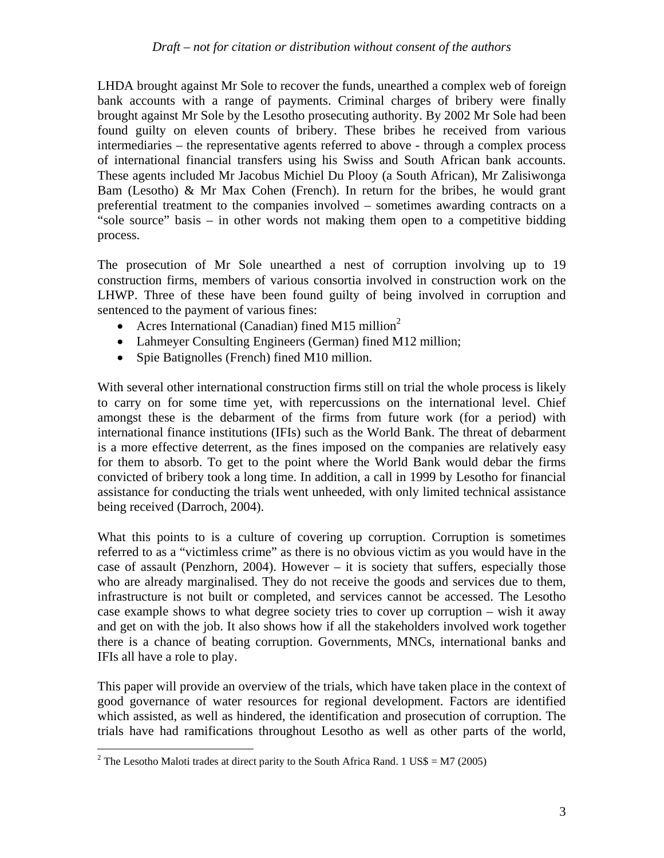LHDA brought against Mr Sole to recover the funds, unearthed a complex web of foreign bank accounts with a range of payments. Criminal charges of bribery were finally brought against Mr Sole by the Lesotho prosecuting authority. By 2002 Mr Sole had been found guilty on eleven counts of bribery. These bribes he received from various intermediaries – the representative agents referred to above - through a complex process of international financial transfers using his Swiss and South African bank accounts. These agents included Mr Jacobus Michiel Du Plooy (a South African), Mr Zalisiwonga Bam (Lesotho) & Mr Max Cohen (French). In return for the bribes, he would grant preferential treatment to the companies involved – sometimes awarding contracts on a "sole source" basis – in other words not making them open to a competitive bidding process.

The prosecution of Mr Sole unearthed a nest of corruption involving up to 19 construction firms, members of various consortia involved in construction work on the LHWP. Three of these have been found guilty of being involved in corruption and sentenced to the payment of various fines:

- Acres International (Canadian) fined M15 million<sup>2</sup>
- Lahmeyer Consulting Engineers (German) fined M12 million;
- Spie Batignolles (French) fined M10 million.

With several other international construction firms still on trial the whole process is likely to carry on for some time yet, with repercussions on the international level. Chief amongst these is the debarment of the firms from future work (for a period) with international finance institutions (IFIs) such as the World Bank. The threat of debarment is a more effective deterrent, as the fines imposed on the companies are relatively easy for them to absorb. To get to the point where the World Bank would debar the firms convicted of bribery took a long time. In addition, a call in 1999 by Lesotho for financial assistance for conducting the trials went unheeded, with only limited technical assistance being received (Darroch, 2004).

What this points to is a culture of covering up corruption. Corruption is sometimes referred to as a "victimless crime" as there is no obvious victim as you would have in the case of assault (Penzhorn, 2004). However – it is society that suffers, especially those who are already marginalised. They do not receive the goods and services due to them, infrastructure is not built or completed, and services cannot be accessed. The Lesotho case example shows to what degree society tries to cover up corruption – wish it away and get on with the job. It also shows how if all the stakeholders involved work together there is a chance of beating corruption. Governments, MNCs, international banks and IFIs all have a role to play.

This paper will provide an overview of the trials, which have taken place in the context of good governance of water resources for regional development. Factors are identified which assisted, as well as hindered, the identification and prosecution of corruption. The trials have had ramifications throughout Lesotho as well as other parts of the world,

<sup>&</sup>lt;sup>2</sup> The Lesotho Maloti trades at direct parity to the South Africa Rand. 1 US\$ = M7 (2005)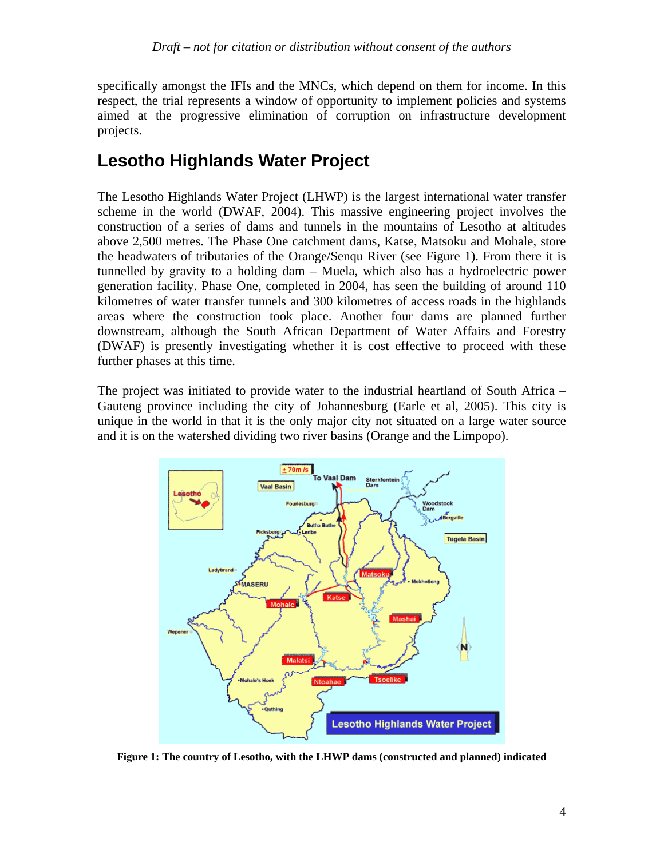specifically amongst the IFIs and the MNCs, which depend on them for income. In this respect, the trial represents a window of opportunity to implement policies and systems aimed at the progressive elimination of corruption on infrastructure development projects.

## **Lesotho Highlands Water Project**

The Lesotho Highlands Water Project (LHWP) is the largest international water transfer scheme in the world (DWAF, 2004). This massive engineering project involves the construction of a series of dams and tunnels in the mountains of Lesotho at altitudes above 2,500 metres. The Phase One catchment dams, Katse, Matsoku and Mohale, store the headwaters of tributaries of the Orange/Senqu River (see Figure 1). From there it is tunnelled by gravity to a holding dam – Muela, which also has a hydroelectric power generation facility. Phase One, completed in 2004, has seen the building of around 110 kilometres of water transfer tunnels and 300 kilometres of access roads in the highlands areas where the construction took place. Another four dams are planned further downstream, although the South African Department of Water Affairs and Forestry (DWAF) is presently investigating whether it is cost effective to proceed with these further phases at this time.

The project was initiated to provide water to the industrial heartland of South Africa – Gauteng province including the city of Johannesburg (Earle et al, 2005). This city is unique in the world in that it is the only major city not situated on a large water source and it is on the watershed dividing two river basins (Orange and the Limpopo).



**Figure 1: The country of Lesotho, with the LHWP dams (constructed and planned) indicated**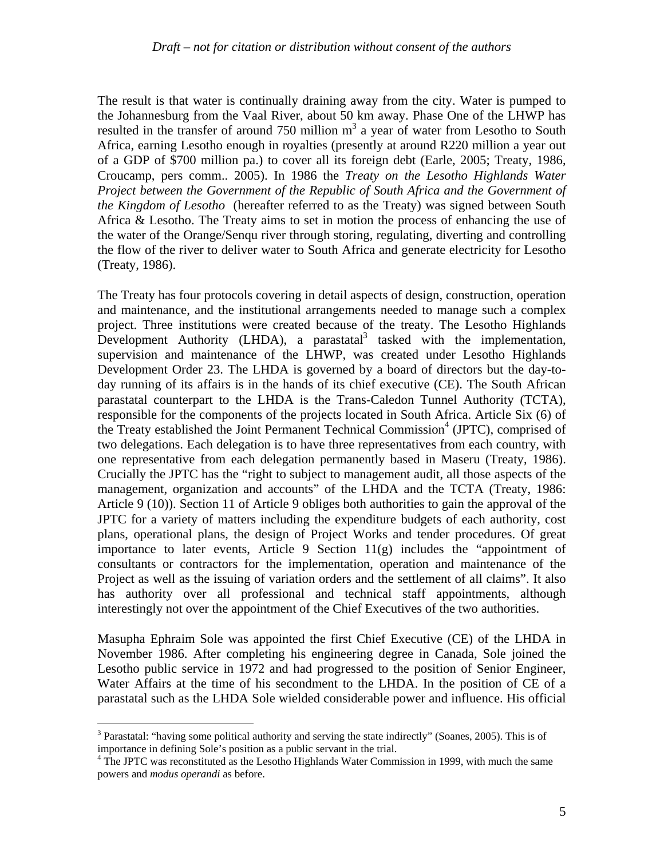The result is that water is continually draining away from the city. Water is pumped to the Johannesburg from the Vaal River, about 50 km away. Phase One of the LHWP has resulted in the transfer of around  $750$  million  $m<sup>3</sup>$  a year of water from Lesotho to South Africa, earning Lesotho enough in royalties (presently at around R220 million a year out of a GDP of \$700 million pa.) to cover all its foreign debt (Earle, 2005; Treaty, 1986, Croucamp, pers comm.. 2005). In 1986 the *Treaty on the Lesotho Highlands Water Project between the Government of the Republic of South Africa and the Government of the Kingdom of Lesotho* (hereafter referred to as the Treaty) was signed between South Africa & Lesotho. The Treaty aims to set in motion the process of enhancing the use of the water of the Orange/Senqu river through storing, regulating, diverting and controlling the flow of the river to deliver water to South Africa and generate electricity for Lesotho (Treaty, 1986).

The Treaty has four protocols covering in detail aspects of design, construction, operation and maintenance, and the institutional arrangements needed to manage such a complex project. Three institutions were created because of the treaty. The Lesotho Highlands Development Authority (LHDA), a parastatal<sup>3</sup> tasked with the implementation, supervision and maintenance of the LHWP, was created under Lesotho Highlands Development Order 23. The LHDA is governed by a board of directors but the day-today running of its affairs is in the hands of its chief executive (CE). The South African parastatal counterpart to the LHDA is the Trans-Caledon Tunnel Authority (TCTA), responsible for the components of the projects located in South Africa. Article Six (6) of the Treaty established the Joint Permanent Technical Commission<sup>4</sup> (JPTC), comprised of two delegations. Each delegation is to have three representatives from each country, with one representative from each delegation permanently based in Maseru (Treaty, 1986). Crucially the JPTC has the "right to subject to management audit, all those aspects of the management, organization and accounts" of the LHDA and the TCTA (Treaty, 1986: Article 9 (10)). Section 11 of Article 9 obliges both authorities to gain the approval of the JPTC for a variety of matters including the expenditure budgets of each authority, cost plans, operational plans, the design of Project Works and tender procedures. Of great importance to later events, Article 9 Section 11(g) includes the "appointment of consultants or contractors for the implementation, operation and maintenance of the Project as well as the issuing of variation orders and the settlement of all claims". It also has authority over all professional and technical staff appointments, although interestingly not over the appointment of the Chief Executives of the two authorities.

Masupha Ephraim Sole was appointed the first Chief Executive (CE) of the LHDA in November 1986. After completing his engineering degree in Canada, Sole joined the Lesotho public service in 1972 and had progressed to the position of Senior Engineer, Water Affairs at the time of his secondment to the LHDA. In the position of CE of a parastatal such as the LHDA Sole wielded considerable power and influence. His official

 $\overline{a}$ 

<sup>&</sup>lt;sup>3</sup> Parastatal: "having some political authority and serving the state indirectly" (Soanes, 2005). This is of importance in defining Sole's position as a public servant in the trial.

<sup>&</sup>lt;sup>4</sup> The JPTC was reconstituted as the Lesotho Highlands Water Commission in 1999, with much the same powers and *modus operandi* as before.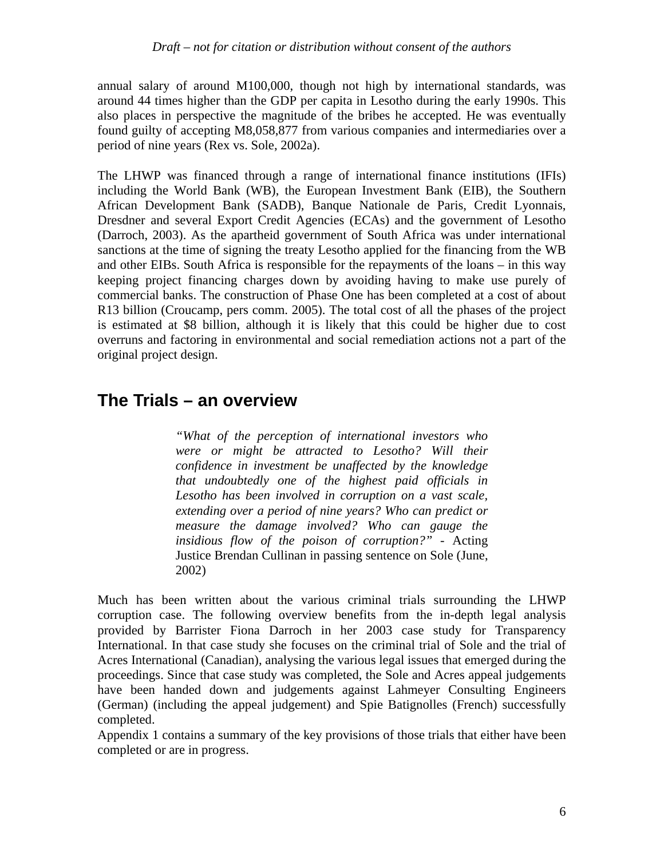annual salary of around M100,000, though not high by international standards, was around 44 times higher than the GDP per capita in Lesotho during the early 1990s. This also places in perspective the magnitude of the bribes he accepted. He was eventually found guilty of accepting M8,058,877 from various companies and intermediaries over a period of nine years (Rex vs. Sole, 2002a).

The LHWP was financed through a range of international finance institutions (IFIs) including the World Bank (WB), the European Investment Bank (EIB), the Southern African Development Bank (SADB), Banque Nationale de Paris, Credit Lyonnais, Dresdner and several Export Credit Agencies (ECAs) and the government of Lesotho (Darroch, 2003). As the apartheid government of South Africa was under international sanctions at the time of signing the treaty Lesotho applied for the financing from the WB and other EIBs. South Africa is responsible for the repayments of the loans – in this way keeping project financing charges down by avoiding having to make use purely of commercial banks. The construction of Phase One has been completed at a cost of about R13 billion (Croucamp, pers comm. 2005). The total cost of all the phases of the project is estimated at \$8 billion, although it is likely that this could be higher due to cost overruns and factoring in environmental and social remediation actions not a part of the original project design.

### **The Trials – an overview**

*"What of the perception of international investors who were or might be attracted to Lesotho? Will their confidence in investment be unaffected by the knowledge that undoubtedly one of the highest paid officials in Lesotho has been involved in corruption on a vast scale, extending over a period of nine years? Who can predict or measure the damage involved? Who can gauge the insidious flow of the poison of corruption?" -* Acting Justice Brendan Cullinan in passing sentence on Sole (June, 2002)

Much has been written about the various criminal trials surrounding the LHWP corruption case. The following overview benefits from the in-depth legal analysis provided by Barrister Fiona Darroch in her 2003 case study for Transparency International. In that case study she focuses on the criminal trial of Sole and the trial of Acres International (Canadian), analysing the various legal issues that emerged during the proceedings. Since that case study was completed, the Sole and Acres appeal judgements have been handed down and judgements against Lahmeyer Consulting Engineers (German) (including the appeal judgement) and Spie Batignolles (French) successfully completed.

Appendix 1 contains a summary of the key provisions of those trials that either have been completed or are in progress.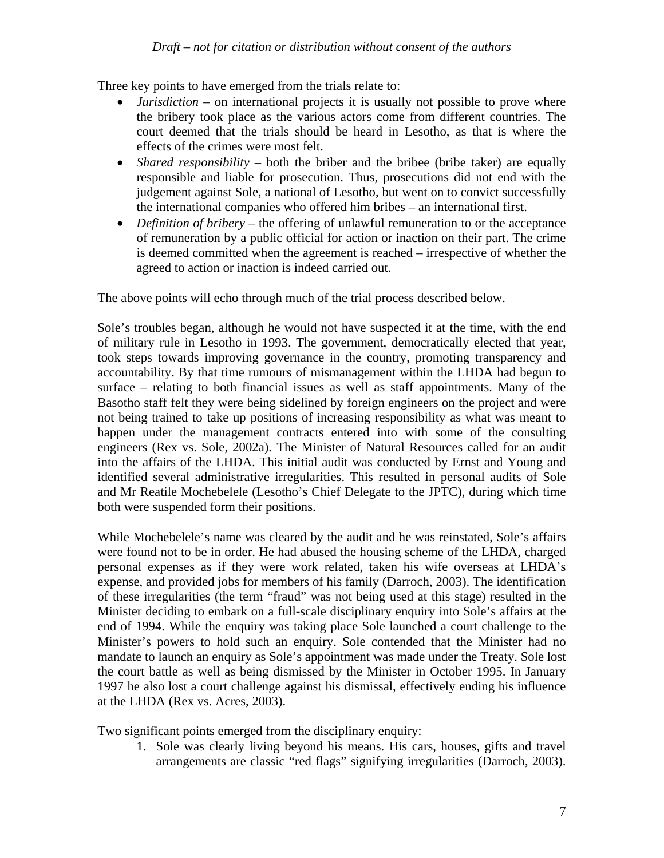Three key points to have emerged from the trials relate to:

- *Jurisdiction* on international projects it is usually not possible to prove where the bribery took place as the various actors come from different countries. The court deemed that the trials should be heard in Lesotho, as that is where the effects of the crimes were most felt.
- *Shared responsibility* both the briber and the bribee (bribe taker) are equally responsible and liable for prosecution. Thus, prosecutions did not end with the judgement against Sole, a national of Lesotho, but went on to convict successfully the international companies who offered him bribes – an international first.
- *Definition of bribery* the offering of unlawful remuneration to or the acceptance of remuneration by a public official for action or inaction on their part. The crime is deemed committed when the agreement is reached – irrespective of whether the agreed to action or inaction is indeed carried out.

The above points will echo through much of the trial process described below.

Sole's troubles began, although he would not have suspected it at the time, with the end of military rule in Lesotho in 1993. The government, democratically elected that year, took steps towards improving governance in the country, promoting transparency and accountability. By that time rumours of mismanagement within the LHDA had begun to surface – relating to both financial issues as well as staff appointments. Many of the Basotho staff felt they were being sidelined by foreign engineers on the project and were not being trained to take up positions of increasing responsibility as what was meant to happen under the management contracts entered into with some of the consulting engineers (Rex vs. Sole, 2002a). The Minister of Natural Resources called for an audit into the affairs of the LHDA. This initial audit was conducted by Ernst and Young and identified several administrative irregularities. This resulted in personal audits of Sole and Mr Reatile Mochebelele (Lesotho's Chief Delegate to the JPTC), during which time both were suspended form their positions.

While Mochebelele's name was cleared by the audit and he was reinstated, Sole's affairs were found not to be in order. He had abused the housing scheme of the LHDA, charged personal expenses as if they were work related, taken his wife overseas at LHDA's expense, and provided jobs for members of his family (Darroch, 2003). The identification of these irregularities (the term "fraud" was not being used at this stage) resulted in the Minister deciding to embark on a full-scale disciplinary enquiry into Sole's affairs at the end of 1994. While the enquiry was taking place Sole launched a court challenge to the Minister's powers to hold such an enquiry. Sole contended that the Minister had no mandate to launch an enquiry as Sole's appointment was made under the Treaty. Sole lost the court battle as well as being dismissed by the Minister in October 1995. In January 1997 he also lost a court challenge against his dismissal, effectively ending his influence at the LHDA (Rex vs. Acres, 2003).

Two significant points emerged from the disciplinary enquiry:

1. Sole was clearly living beyond his means. His cars, houses, gifts and travel arrangements are classic "red flags" signifying irregularities (Darroch, 2003).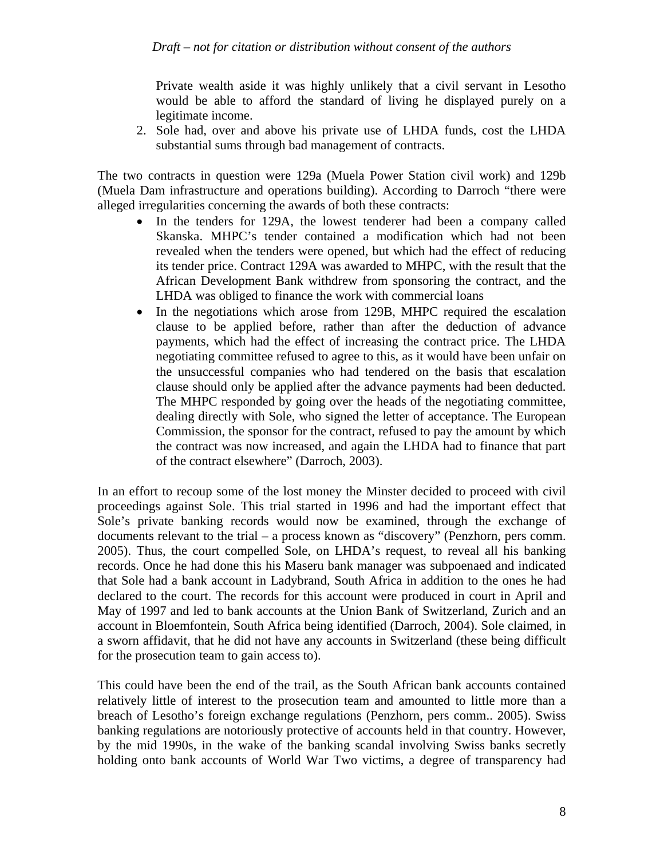Private wealth aside it was highly unlikely that a civil servant in Lesotho would be able to afford the standard of living he displayed purely on a legitimate income.

2. Sole had, over and above his private use of LHDA funds, cost the LHDA substantial sums through bad management of contracts.

The two contracts in question were 129a (Muela Power Station civil work) and 129b (Muela Dam infrastructure and operations building). According to Darroch "there were alleged irregularities concerning the awards of both these contracts:

- In the tenders for 129A, the lowest tenderer had been a company called Skanska. MHPC's tender contained a modification which had not been revealed when the tenders were opened, but which had the effect of reducing its tender price. Contract 129A was awarded to MHPC, with the result that the African Development Bank withdrew from sponsoring the contract, and the LHDA was obliged to finance the work with commercial loans
- In the negotiations which arose from 129B, MHPC required the escalation clause to be applied before, rather than after the deduction of advance payments, which had the effect of increasing the contract price. The LHDA negotiating committee refused to agree to this, as it would have been unfair on the unsuccessful companies who had tendered on the basis that escalation clause should only be applied after the advance payments had been deducted. The MHPC responded by going over the heads of the negotiating committee, dealing directly with Sole, who signed the letter of acceptance. The European Commission, the sponsor for the contract, refused to pay the amount by which the contract was now increased, and again the LHDA had to finance that part of the contract elsewhere" (Darroch, 2003).

In an effort to recoup some of the lost money the Minster decided to proceed with civil proceedings against Sole. This trial started in 1996 and had the important effect that Sole's private banking records would now be examined, through the exchange of documents relevant to the trial – a process known as "discovery" (Penzhorn, pers comm. 2005). Thus, the court compelled Sole, on LHDA's request, to reveal all his banking records. Once he had done this his Maseru bank manager was subpoenaed and indicated that Sole had a bank account in Ladybrand, South Africa in addition to the ones he had declared to the court. The records for this account were produced in court in April and May of 1997 and led to bank accounts at the Union Bank of Switzerland, Zurich and an account in Bloemfontein, South Africa being identified (Darroch, 2004). Sole claimed, in a sworn affidavit, that he did not have any accounts in Switzerland (these being difficult for the prosecution team to gain access to).

This could have been the end of the trail, as the South African bank accounts contained relatively little of interest to the prosecution team and amounted to little more than a breach of Lesotho's foreign exchange regulations (Penzhorn, pers comm.. 2005). Swiss banking regulations are notoriously protective of accounts held in that country. However, by the mid 1990s, in the wake of the banking scandal involving Swiss banks secretly holding onto bank accounts of World War Two victims, a degree of transparency had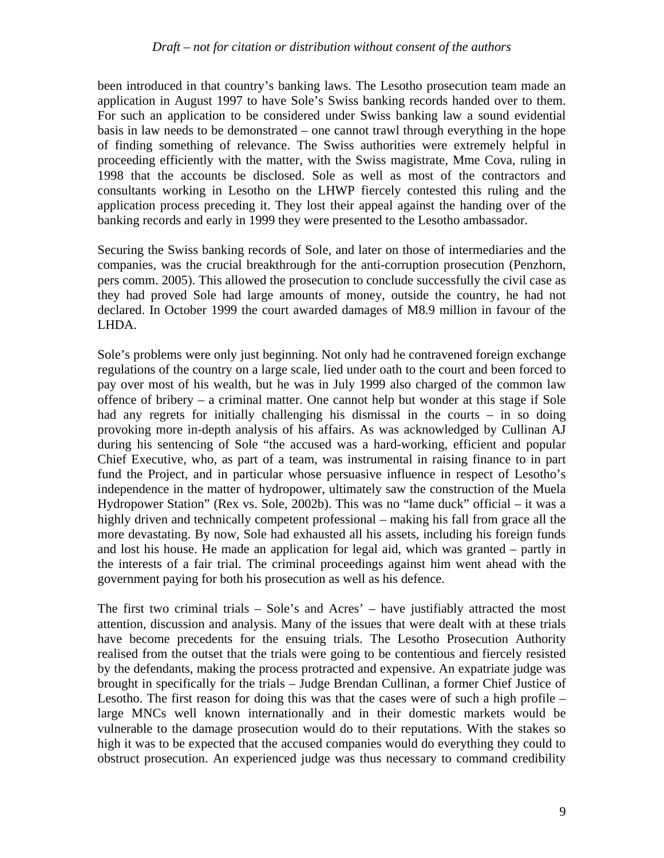been introduced in that country's banking laws. The Lesotho prosecution team made an application in August 1997 to have Sole's Swiss banking records handed over to them. For such an application to be considered under Swiss banking law a sound evidential basis in law needs to be demonstrated – one cannot trawl through everything in the hope of finding something of relevance. The Swiss authorities were extremely helpful in proceeding efficiently with the matter, with the Swiss magistrate, Mme Cova, ruling in 1998 that the accounts be disclosed. Sole as well as most of the contractors and consultants working in Lesotho on the LHWP fiercely contested this ruling and the application process preceding it. They lost their appeal against the handing over of the banking records and early in 1999 they were presented to the Lesotho ambassador.

Securing the Swiss banking records of Sole, and later on those of intermediaries and the companies, was the crucial breakthrough for the anti-corruption prosecution (Penzhorn, pers comm. 2005). This allowed the prosecution to conclude successfully the civil case as they had proved Sole had large amounts of money, outside the country, he had not declared. In October 1999 the court awarded damages of M8.9 million in favour of the LHDA.

Sole's problems were only just beginning. Not only had he contravened foreign exchange regulations of the country on a large scale, lied under oath to the court and been forced to pay over most of his wealth, but he was in July 1999 also charged of the common law offence of bribery – a criminal matter. One cannot help but wonder at this stage if Sole had any regrets for initially challenging his dismissal in the courts – in so doing provoking more in-depth analysis of his affairs. As was acknowledged by Cullinan AJ during his sentencing of Sole "the accused was a hard-working, efficient and popular Chief Executive, who, as part of a team, was instrumental in raising finance to in part fund the Project, and in particular whose persuasive influence in respect of Lesotho's independence in the matter of hydropower, ultimately saw the construction of the Muela Hydropower Station" (Rex vs. Sole, 2002b). This was no "lame duck" official – it was a highly driven and technically competent professional – making his fall from grace all the more devastating. By now, Sole had exhausted all his assets, including his foreign funds and lost his house. He made an application for legal aid, which was granted – partly in the interests of a fair trial. The criminal proceedings against him went ahead with the government paying for both his prosecution as well as his defence.

The first two criminal trials – Sole's and Acres' – have justifiably attracted the most attention, discussion and analysis. Many of the issues that were dealt with at these trials have become precedents for the ensuing trials. The Lesotho Prosecution Authority realised from the outset that the trials were going to be contentious and fiercely resisted by the defendants, making the process protracted and expensive. An expatriate judge was brought in specifically for the trials – Judge Brendan Cullinan, a former Chief Justice of Lesotho. The first reason for doing this was that the cases were of such a high profile – large MNCs well known internationally and in their domestic markets would be vulnerable to the damage prosecution would do to their reputations. With the stakes so high it was to be expected that the accused companies would do everything they could to obstruct prosecution. An experienced judge was thus necessary to command credibility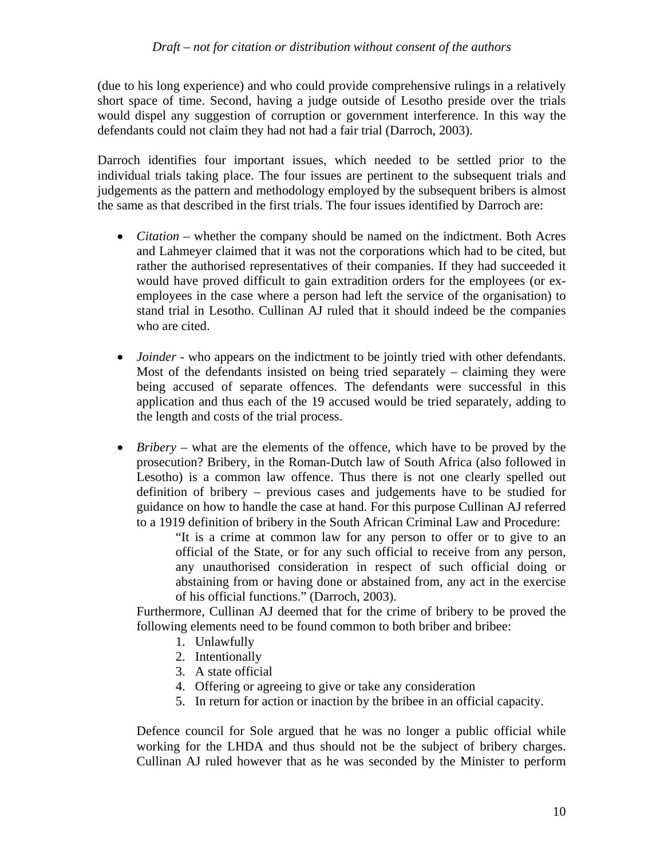(due to his long experience) and who could provide comprehensive rulings in a relatively short space of time. Second, having a judge outside of Lesotho preside over the trials would dispel any suggestion of corruption or government interference. In this way the defendants could not claim they had not had a fair trial (Darroch, 2003).

Darroch identifies four important issues, which needed to be settled prior to the individual trials taking place. The four issues are pertinent to the subsequent trials and judgements as the pattern and methodology employed by the subsequent bribers is almost the same as that described in the first trials. The four issues identified by Darroch are:

- *Citation* whether the company should be named on the indictment. Both Acres and Lahmeyer claimed that it was not the corporations which had to be cited, but rather the authorised representatives of their companies. If they had succeeded it would have proved difficult to gain extradition orders for the employees (or exemployees in the case where a person had left the service of the organisation) to stand trial in Lesotho. Cullinan AJ ruled that it should indeed be the companies who are cited.
- *Joinder* who appears on the indictment to be jointly tried with other defendants. Most of the defendants insisted on being tried separately – claiming they were being accused of separate offences. The defendants were successful in this application and thus each of the 19 accused would be tried separately, adding to the length and costs of the trial process.
- *Bribery* what are the elements of the offence, which have to be proved by the prosecution? Bribery, in the Roman-Dutch law of South Africa (also followed in Lesotho) is a common law offence. Thus there is not one clearly spelled out definition of bribery – previous cases and judgements have to be studied for guidance on how to handle the case at hand. For this purpose Cullinan AJ referred to a 1919 definition of bribery in the South African Criminal Law and Procedure:

"It is a crime at common law for any person to offer or to give to an official of the State, or for any such official to receive from any person, any unauthorised consideration in respect of such official doing or abstaining from or having done or abstained from, any act in the exercise of his official functions." (Darroch, 2003).

Furthermore, Cullinan AJ deemed that for the crime of bribery to be proved the following elements need to be found common to both briber and bribee:

- 1. Unlawfully
- 2. Intentionally
- 3. A state official
- 4. Offering or agreeing to give or take any consideration
- 5. In return for action or inaction by the bribee in an official capacity.

Defence council for Sole argued that he was no longer a public official while working for the LHDA and thus should not be the subject of bribery charges. Cullinan AJ ruled however that as he was seconded by the Minister to perform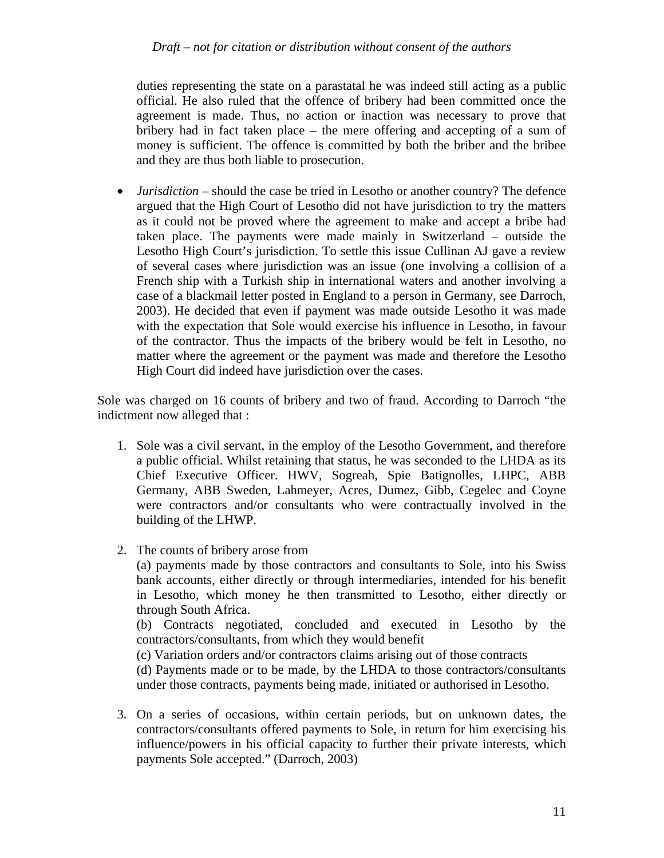#### *Draft – not for citation or distribution without consent of the authors*

duties representing the state on a parastatal he was indeed still acting as a public official. He also ruled that the offence of bribery had been committed once the agreement is made. Thus, no action or inaction was necessary to prove that bribery had in fact taken place – the mere offering and accepting of a sum of money is sufficient. The offence is committed by both the briber and the bribee and they are thus both liable to prosecution.

• *Jurisdiction* – should the case be tried in Lesotho or another country? The defence argued that the High Court of Lesotho did not have jurisdiction to try the matters as it could not be proved where the agreement to make and accept a bribe had taken place. The payments were made mainly in Switzerland – outside the Lesotho High Court's jurisdiction. To settle this issue Cullinan AJ gave a review of several cases where jurisdiction was an issue (one involving a collision of a French ship with a Turkish ship in international waters and another involving a case of a blackmail letter posted in England to a person in Germany, see Darroch, 2003). He decided that even if payment was made outside Lesotho it was made with the expectation that Sole would exercise his influence in Lesotho, in favour of the contractor. Thus the impacts of the bribery would be felt in Lesotho, no matter where the agreement or the payment was made and therefore the Lesotho High Court did indeed have jurisdiction over the cases.

Sole was charged on 16 counts of bribery and two of fraud. According to Darroch "the indictment now alleged that :

- 1. Sole was a civil servant, in the employ of the Lesotho Government, and therefore a public official. Whilst retaining that status, he was seconded to the LHDA as its Chief Executive Officer. HWV, Sogreah, Spie Batignolles, LHPC, ABB Germany, ABB Sweden, Lahmeyer, Acres, Dumez, Gibb, Cegelec and Coyne were contractors and/or consultants who were contractually involved in the building of the LHWP.
- 2. The counts of bribery arose from

(a) payments made by those contractors and consultants to Sole, into his Swiss bank accounts, either directly or through intermediaries, intended for his benefit in Lesotho, which money he then transmitted to Lesotho, either directly or through South Africa.

(b) Contracts negotiated, concluded and executed in Lesotho by the contractors/consultants, from which they would benefit

(c) Variation orders and/or contractors claims arising out of those contracts

(d) Payments made or to be made, by the LHDA to those contractors/consultants under those contracts, payments being made, initiated or authorised in Lesotho.

3. On a series of occasions, within certain periods, but on unknown dates, the contractors/consultants offered payments to Sole, in return for him exercising his influence/powers in his official capacity to further their private interests, which payments Sole accepted." (Darroch, 2003)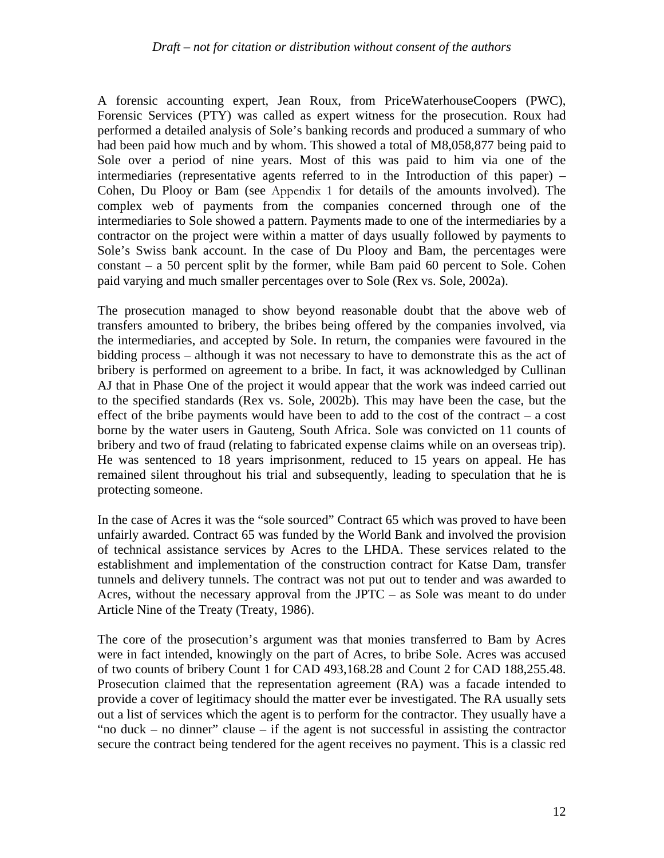#### *Draft – not for citation or distribution without consent of the authors*

A forensic accounting expert, Jean Roux, from PriceWaterhouseCoopers (PWC), Forensic Services (PTY) was called as expert witness for the prosecution. Roux had performed a detailed analysis of Sole's banking records and produced a summary of who had been paid how much and by whom. This showed a total of M8,058,877 being paid to Sole over a period of nine years. Most of this was paid to him via one of the intermediaries (representative agents referred to in the Introduction of this paper) – Cohen, Du Plooy or Bam (see Appendix 1 for details of the amounts involved). The complex web of payments from the companies concerned through one of the intermediaries to Sole showed a pattern. Payments made to one of the intermediaries by a contractor on the project were within a matter of days usually followed by payments to Sole's Swiss bank account. In the case of Du Plooy and Bam, the percentages were constant – a 50 percent split by the former, while Bam paid 60 percent to Sole. Cohen paid varying and much smaller percentages over to Sole (Rex vs. Sole, 2002a).

The prosecution managed to show beyond reasonable doubt that the above web of transfers amounted to bribery, the bribes being offered by the companies involved, via the intermediaries, and accepted by Sole. In return, the companies were favoured in the bidding process – although it was not necessary to have to demonstrate this as the act of bribery is performed on agreement to a bribe. In fact, it was acknowledged by Cullinan AJ that in Phase One of the project it would appear that the work was indeed carried out to the specified standards (Rex vs. Sole, 2002b). This may have been the case, but the effect of the bribe payments would have been to add to the cost of the contract – a cost borne by the water users in Gauteng, South Africa. Sole was convicted on 11 counts of bribery and two of fraud (relating to fabricated expense claims while on an overseas trip). He was sentenced to 18 years imprisonment, reduced to 15 years on appeal. He has remained silent throughout his trial and subsequently, leading to speculation that he is protecting someone.

In the case of Acres it was the "sole sourced" Contract 65 which was proved to have been unfairly awarded. Contract 65 was funded by the World Bank and involved the provision of technical assistance services by Acres to the LHDA. These services related to the establishment and implementation of the construction contract for Katse Dam, transfer tunnels and delivery tunnels. The contract was not put out to tender and was awarded to Acres, without the necessary approval from the JPTC – as Sole was meant to do under Article Nine of the Treaty (Treaty, 1986).

The core of the prosecution's argument was that monies transferred to Bam by Acres were in fact intended, knowingly on the part of Acres, to bribe Sole. Acres was accused of two counts of bribery Count 1 for CAD 493,168.28 and Count 2 for CAD 188,255.48. Prosecution claimed that the representation agreement (RA) was a facade intended to provide a cover of legitimacy should the matter ever be investigated. The RA usually sets out a list of services which the agent is to perform for the contractor. They usually have a "no duck – no dinner" clause – if the agent is not successful in assisting the contractor secure the contract being tendered for the agent receives no payment. This is a classic red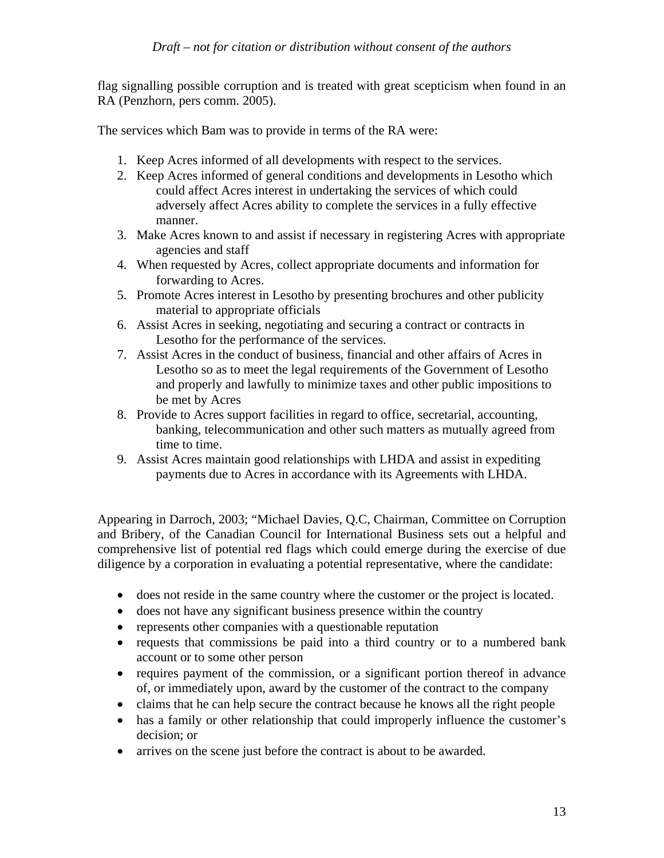flag signalling possible corruption and is treated with great scepticism when found in an RA (Penzhorn, pers comm. 2005).

The services which Bam was to provide in terms of the RA were:

- 1. Keep Acres informed of all developments with respect to the services.
- 2. Keep Acres informed of general conditions and developments in Lesotho which could affect Acres interest in undertaking the services of which could adversely affect Acres ability to complete the services in a fully effective manner.
- 3. Make Acres known to and assist if necessary in registering Acres with appropriate agencies and staff
- 4. When requested by Acres, collect appropriate documents and information for forwarding to Acres.
- 5. Promote Acres interest in Lesotho by presenting brochures and other publicity material to appropriate officials
- 6. Assist Acres in seeking, negotiating and securing a contract or contracts in Lesotho for the performance of the services.
- 7. Assist Acres in the conduct of business, financial and other affairs of Acres in Lesotho so as to meet the legal requirements of the Government of Lesotho and properly and lawfully to minimize taxes and other public impositions to be met by Acres
- 8. Provide to Acres support facilities in regard to office, secretarial, accounting, banking, telecommunication and other such matters as mutually agreed from time to time.
- 9. Assist Acres maintain good relationships with LHDA and assist in expediting payments due to Acres in accordance with its Agreements with LHDA.

Appearing in Darroch, 2003; "Michael Davies, Q.C, Chairman, Committee on Corruption and Bribery, of the Canadian Council for International Business sets out a helpful and comprehensive list of potential red flags which could emerge during the exercise of due diligence by a corporation in evaluating a potential representative, where the candidate:

- does not reside in the same country where the customer or the project is located.
- does not have any significant business presence within the country
- represents other companies with a questionable reputation
- requests that commissions be paid into a third country or to a numbered bank account or to some other person
- requires payment of the commission, or a significant portion thereof in advance of, or immediately upon, award by the customer of the contract to the company
- claims that he can help secure the contract because he knows all the right people
- has a family or other relationship that could improperly influence the customer's decision; or
- arrives on the scene just before the contract is about to be awarded.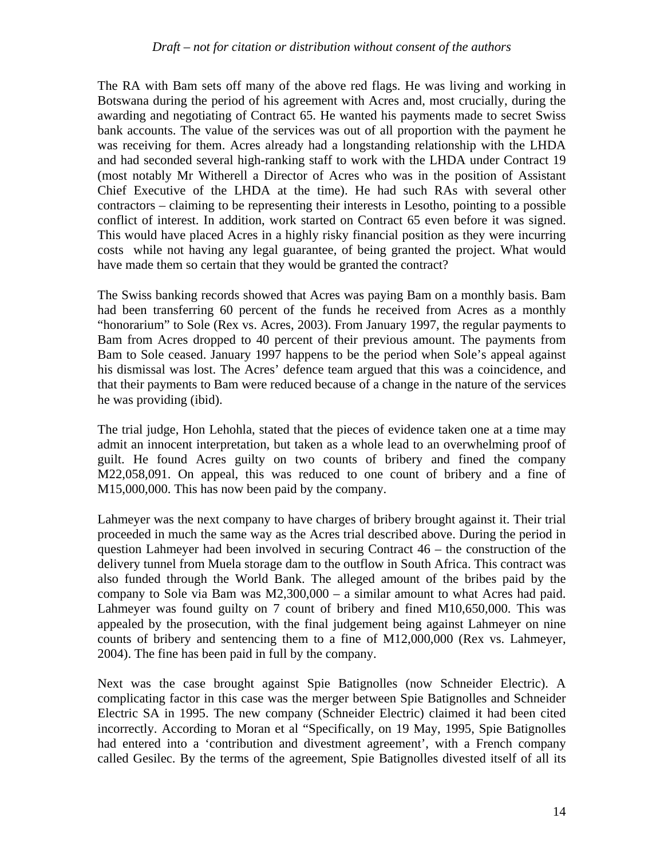The RA with Bam sets off many of the above red flags. He was living and working in Botswana during the period of his agreement with Acres and, most crucially, during the awarding and negotiating of Contract 65. He wanted his payments made to secret Swiss bank accounts. The value of the services was out of all proportion with the payment he was receiving for them. Acres already had a longstanding relationship with the LHDA and had seconded several high-ranking staff to work with the LHDA under Contract 19 (most notably Mr Witherell a Director of Acres who was in the position of Assistant Chief Executive of the LHDA at the time). He had such RAs with several other contractors – claiming to be representing their interests in Lesotho, pointing to a possible conflict of interest. In addition, work started on Contract 65 even before it was signed. This would have placed Acres in a highly risky financial position as they were incurring costs while not having any legal guarantee, of being granted the project. What would have made them so certain that they would be granted the contract?

The Swiss banking records showed that Acres was paying Bam on a monthly basis. Bam had been transferring 60 percent of the funds he received from Acres as a monthly "honorarium" to Sole (Rex vs. Acres, 2003). From January 1997, the regular payments to Bam from Acres dropped to 40 percent of their previous amount. The payments from Bam to Sole ceased. January 1997 happens to be the period when Sole's appeal against his dismissal was lost. The Acres' defence team argued that this was a coincidence, and that their payments to Bam were reduced because of a change in the nature of the services he was providing (ibid).

The trial judge, Hon Lehohla, stated that the pieces of evidence taken one at a time may admit an innocent interpretation, but taken as a whole lead to an overwhelming proof of guilt. He found Acres guilty on two counts of bribery and fined the company M22,058,091. On appeal, this was reduced to one count of bribery and a fine of M15,000,000. This has now been paid by the company.

Lahmeyer was the next company to have charges of bribery brought against it. Their trial proceeded in much the same way as the Acres trial described above. During the period in question Lahmeyer had been involved in securing Contract 46 – the construction of the delivery tunnel from Muela storage dam to the outflow in South Africa. This contract was also funded through the World Bank. The alleged amount of the bribes paid by the company to Sole via Bam was M2,300,000 – a similar amount to what Acres had paid. Lahmeyer was found guilty on 7 count of bribery and fined M10,650,000. This was appealed by the prosecution, with the final judgement being against Lahmeyer on nine counts of bribery and sentencing them to a fine of M12,000,000 (Rex vs. Lahmeyer, 2004). The fine has been paid in full by the company.

Next was the case brought against Spie Batignolles (now Schneider Electric). A complicating factor in this case was the merger between Spie Batignolles and Schneider Electric SA in 1995. The new company (Schneider Electric) claimed it had been cited incorrectly. According to Moran et al "Specifically, on 19 May, 1995, Spie Batignolles had entered into a 'contribution and divestment agreement', with a French company called Gesilec. By the terms of the agreement, Spie Batignolles divested itself of all its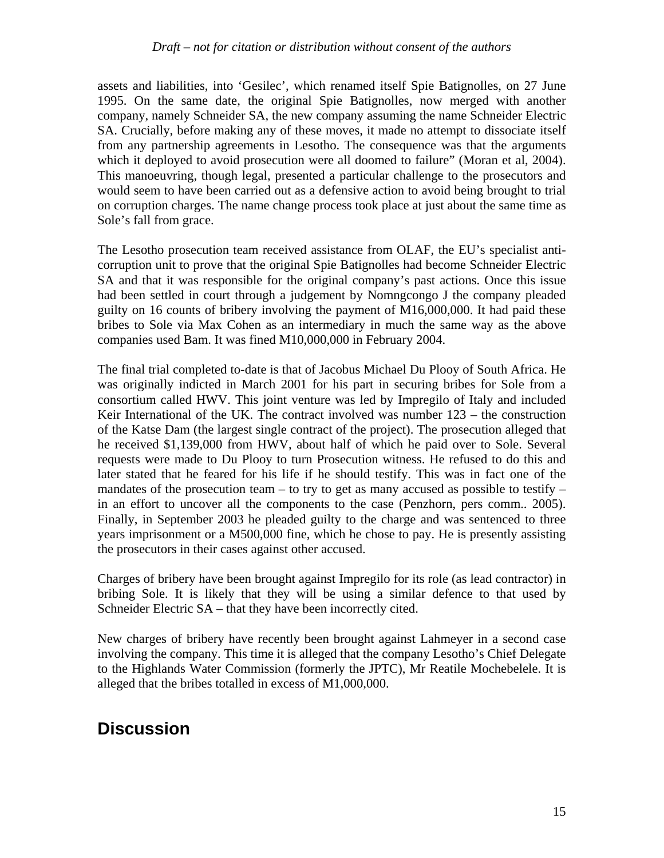assets and liabilities, into 'Gesilec', which renamed itself Spie Batignolles, on 27 June 1995. On the same date, the original Spie Batignolles, now merged with another company, namely Schneider SA, the new company assuming the name Schneider Electric SA. Crucially, before making any of these moves, it made no attempt to dissociate itself from any partnership agreements in Lesotho. The consequence was that the arguments which it deployed to avoid prosecution were all doomed to failure" (Moran et al, 2004). This manoeuvring, though legal, presented a particular challenge to the prosecutors and would seem to have been carried out as a defensive action to avoid being brought to trial on corruption charges. The name change process took place at just about the same time as Sole's fall from grace.

The Lesotho prosecution team received assistance from OLAF, the EU's specialist anticorruption unit to prove that the original Spie Batignolles had become Schneider Electric SA and that it was responsible for the original company's past actions. Once this issue had been settled in court through a judgement by Nomngcongo J the company pleaded guilty on 16 counts of bribery involving the payment of M16,000,000. It had paid these bribes to Sole via Max Cohen as an intermediary in much the same way as the above companies used Bam. It was fined M10,000,000 in February 2004.

The final trial completed to-date is that of Jacobus Michael Du Plooy of South Africa. He was originally indicted in March 2001 for his part in securing bribes for Sole from a consortium called HWV. This joint venture was led by Impregilo of Italy and included Keir International of the UK. The contract involved was number  $123 -$  the construction of the Katse Dam (the largest single contract of the project). The prosecution alleged that he received \$1,139,000 from HWV, about half of which he paid over to Sole. Several requests were made to Du Plooy to turn Prosecution witness. He refused to do this and later stated that he feared for his life if he should testify. This was in fact one of the mandates of the prosecution team – to try to get as many accused as possible to testify – in an effort to uncover all the components to the case (Penzhorn, pers comm.. 2005). Finally, in September 2003 he pleaded guilty to the charge and was sentenced to three years imprisonment or a M500,000 fine, which he chose to pay. He is presently assisting the prosecutors in their cases against other accused.

Charges of bribery have been brought against Impregilo for its role (as lead contractor) in bribing Sole. It is likely that they will be using a similar defence to that used by Schneider Electric SA – that they have been incorrectly cited.

New charges of bribery have recently been brought against Lahmeyer in a second case involving the company. This time it is alleged that the company Lesotho's Chief Delegate to the Highlands Water Commission (formerly the JPTC), Mr Reatile Mochebelele. It is alleged that the bribes totalled in excess of M1,000,000.

# **Discussion**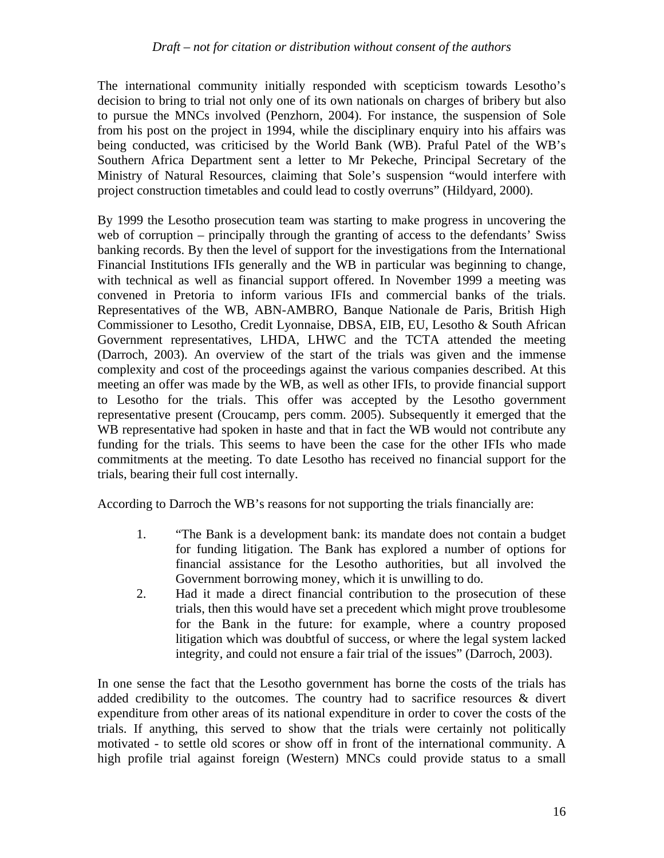The international community initially responded with scepticism towards Lesotho's decision to bring to trial not only one of its own nationals on charges of bribery but also to pursue the MNCs involved (Penzhorn, 2004). For instance, the suspension of Sole from his post on the project in 1994, while the disciplinary enquiry into his affairs was being conducted, was criticised by the World Bank (WB). Praful Patel of the WB's Southern Africa Department sent a letter to Mr Pekeche, Principal Secretary of the Ministry of Natural Resources, claiming that Sole's suspension "would interfere with project construction timetables and could lead to costly overruns" (Hildyard, 2000).

By 1999 the Lesotho prosecution team was starting to make progress in uncovering the web of corruption – principally through the granting of access to the defendants' Swiss banking records. By then the level of support for the investigations from the International Financial Institutions IFIs generally and the WB in particular was beginning to change, with technical as well as financial support offered. In November 1999 a meeting was convened in Pretoria to inform various IFIs and commercial banks of the trials. Representatives of the WB, ABN-AMBRO, Banque Nationale de Paris, British High Commissioner to Lesotho, Credit Lyonnaise, DBSA, EIB, EU, Lesotho & South African Government representatives, LHDA, LHWC and the TCTA attended the meeting (Darroch, 2003). An overview of the start of the trials was given and the immense complexity and cost of the proceedings against the various companies described. At this meeting an offer was made by the WB, as well as other IFIs, to provide financial support to Lesotho for the trials. This offer was accepted by the Lesotho government representative present (Croucamp, pers comm. 2005). Subsequently it emerged that the WB representative had spoken in haste and that in fact the WB would not contribute any funding for the trials. This seems to have been the case for the other IFIs who made commitments at the meeting. To date Lesotho has received no financial support for the trials, bearing their full cost internally.

According to Darroch the WB's reasons for not supporting the trials financially are:

- 1. "The Bank is a development bank: its mandate does not contain a budget for funding litigation. The Bank has explored a number of options for financial assistance for the Lesotho authorities, but all involved the Government borrowing money, which it is unwilling to do.
- 2. Had it made a direct financial contribution to the prosecution of these trials, then this would have set a precedent which might prove troublesome for the Bank in the future: for example, where a country proposed litigation which was doubtful of success, or where the legal system lacked integrity, and could not ensure a fair trial of the issues" (Darroch, 2003).

In one sense the fact that the Lesotho government has borne the costs of the trials has added credibility to the outcomes. The country had to sacrifice resources & divert expenditure from other areas of its national expenditure in order to cover the costs of the trials. If anything, this served to show that the trials were certainly not politically motivated - to settle old scores or show off in front of the international community. A high profile trial against foreign (Western) MNCs could provide status to a small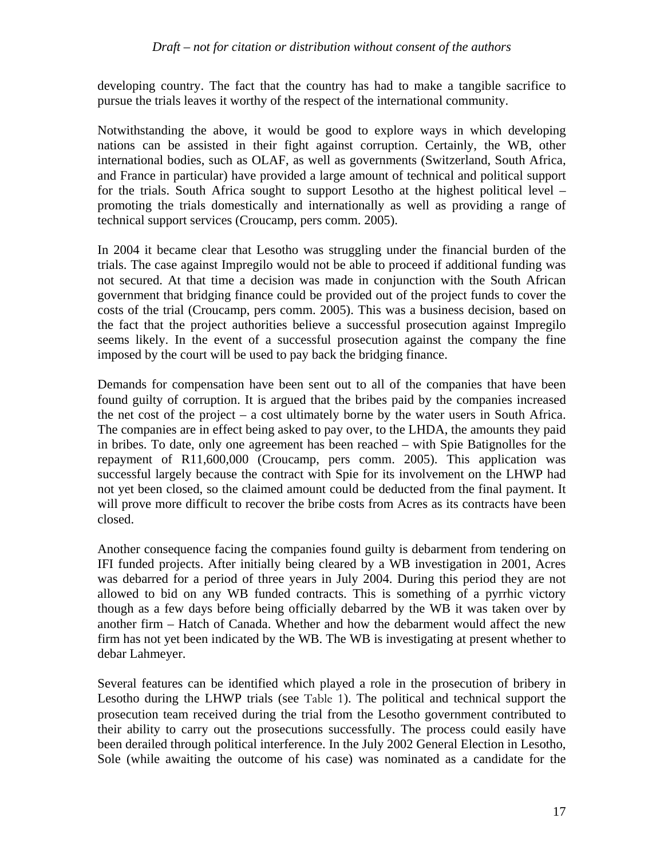developing country. The fact that the country has had to make a tangible sacrifice to pursue the trials leaves it worthy of the respect of the international community.

Notwithstanding the above, it would be good to explore ways in which developing nations can be assisted in their fight against corruption. Certainly, the WB, other international bodies, such as OLAF, as well as governments (Switzerland, South Africa, and France in particular) have provided a large amount of technical and political support for the trials. South Africa sought to support Lesotho at the highest political level – promoting the trials domestically and internationally as well as providing a range of technical support services (Croucamp, pers comm. 2005).

In 2004 it became clear that Lesotho was struggling under the financial burden of the trials. The case against Impregilo would not be able to proceed if additional funding was not secured. At that time a decision was made in conjunction with the South African government that bridging finance could be provided out of the project funds to cover the costs of the trial (Croucamp, pers comm. 2005). This was a business decision, based on the fact that the project authorities believe a successful prosecution against Impregilo seems likely. In the event of a successful prosecution against the company the fine imposed by the court will be used to pay back the bridging finance.

Demands for compensation have been sent out to all of the companies that have been found guilty of corruption. It is argued that the bribes paid by the companies increased the net cost of the project – a cost ultimately borne by the water users in South Africa. The companies are in effect being asked to pay over, to the LHDA, the amounts they paid in bribes. To date, only one agreement has been reached – with Spie Batignolles for the repayment of R11,600,000 (Croucamp, pers comm. 2005). This application was successful largely because the contract with Spie for its involvement on the LHWP had not yet been closed, so the claimed amount could be deducted from the final payment. It will prove more difficult to recover the bribe costs from Acres as its contracts have been closed.

Another consequence facing the companies found guilty is debarment from tendering on IFI funded projects. After initially being cleared by a WB investigation in 2001, Acres was debarred for a period of three years in July 2004. During this period they are not allowed to bid on any WB funded contracts. This is something of a pyrrhic victory though as a few days before being officially debarred by the WB it was taken over by another firm – Hatch of Canada. Whether and how the debarment would affect the new firm has not yet been indicated by the WB. The WB is investigating at present whether to debar Lahmeyer.

Several features can be identified which played a role in the prosecution of bribery in Lesotho during the LHWP trials (see Table 1). The political and technical support the prosecution team received during the trial from the Lesotho government contributed to their ability to carry out the prosecutions successfully. The process could easily have been derailed through political interference. In the July 2002 General Election in Lesotho, Sole (while awaiting the outcome of his case) was nominated as a candidate for the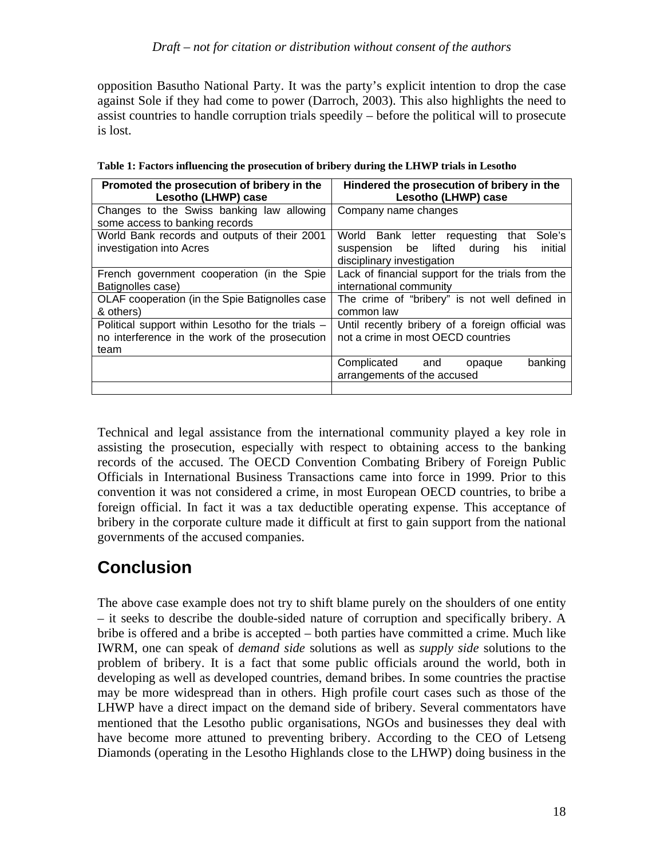opposition Basutho National Party. It was the party's explicit intention to drop the case against Sole if they had come to power (Darroch, 2003). This also highlights the need to assist countries to handle corruption trials speedily – before the political will to prosecute is lost.

| Promoted the prosecution of bribery in the<br>Lesotho (LHWP) case                                           | Hindered the prosecution of bribery in the<br>Lesotho (LHWP) case                                                                 |  |  |  |
|-------------------------------------------------------------------------------------------------------------|-----------------------------------------------------------------------------------------------------------------------------------|--|--|--|
| Changes to the Swiss banking law allowing<br>some access to banking records                                 | Company name changes                                                                                                              |  |  |  |
| World Bank records and outputs of their 2001<br>investigation into Acres                                    | Sole's<br>World Bank letter requesting<br>that<br>suspension be lifted<br>initial<br>during<br>his.<br>disciplinary investigation |  |  |  |
| French government cooperation (in the Spie<br>Batignolles case)                                             | Lack of financial support for the trials from the<br>international community                                                      |  |  |  |
| OLAF cooperation (in the Spie Batignolles case<br>& others)                                                 | The crime of "bribery" is not well defined in<br>common law                                                                       |  |  |  |
| Political support within Lesotho for the trials -<br>no interference in the work of the prosecution<br>team | Until recently bribery of a foreign official was<br>not a crime in most OECD countries                                            |  |  |  |
|                                                                                                             | banking<br>Complicated and<br>opaque<br>arrangements of the accused                                                               |  |  |  |
|                                                                                                             |                                                                                                                                   |  |  |  |

**Table 1: Factors influencing the prosecution of bribery during the LHWP trials in Lesotho** 

Technical and legal assistance from the international community played a key role in assisting the prosecution, especially with respect to obtaining access to the banking records of the accused. The OECD Convention Combating Bribery of Foreign Public Officials in International Business Transactions came into force in 1999. Prior to this convention it was not considered a crime, in most European OECD countries, to bribe a foreign official. In fact it was a tax deductible operating expense. This acceptance of bribery in the corporate culture made it difficult at first to gain support from the national governments of the accused companies.

# **Conclusion**

The above case example does not try to shift blame purely on the shoulders of one entity – it seeks to describe the double-sided nature of corruption and specifically bribery. A bribe is offered and a bribe is accepted – both parties have committed a crime. Much like IWRM, one can speak of *demand side* solutions as well as *supply side* solutions to the problem of bribery. It is a fact that some public officials around the world, both in developing as well as developed countries, demand bribes. In some countries the practise may be more widespread than in others. High profile court cases such as those of the LHWP have a direct impact on the demand side of bribery. Several commentators have mentioned that the Lesotho public organisations, NGOs and businesses they deal with have become more attuned to preventing bribery. According to the CEO of Letseng Diamonds (operating in the Lesotho Highlands close to the LHWP) doing business in the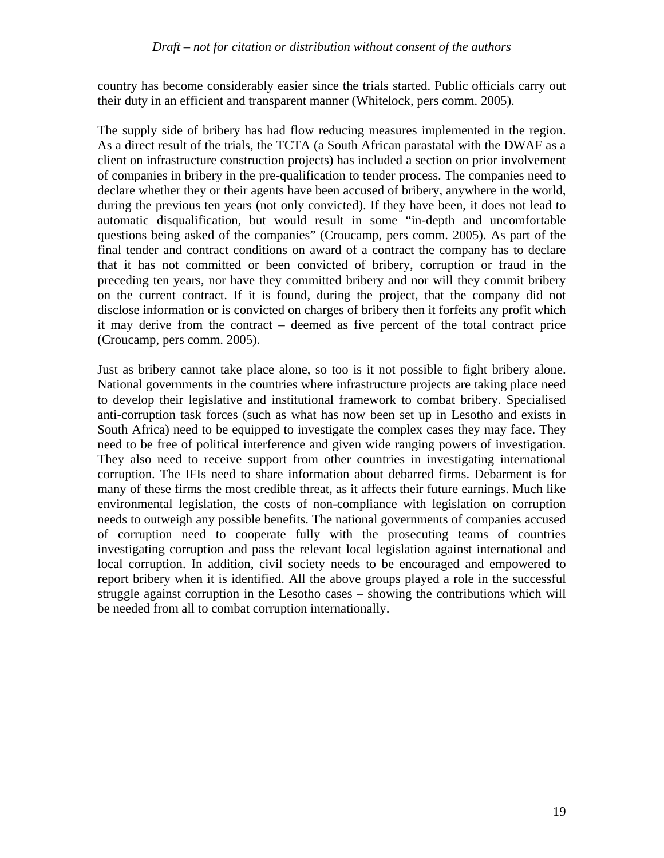country has become considerably easier since the trials started. Public officials carry out their duty in an efficient and transparent manner (Whitelock, pers comm. 2005).

The supply side of bribery has had flow reducing measures implemented in the region. As a direct result of the trials, the TCTA (a South African parastatal with the DWAF as a client on infrastructure construction projects) has included a section on prior involvement of companies in bribery in the pre-qualification to tender process. The companies need to declare whether they or their agents have been accused of bribery, anywhere in the world, during the previous ten years (not only convicted). If they have been, it does not lead to automatic disqualification, but would result in some "in-depth and uncomfortable questions being asked of the companies" (Croucamp, pers comm. 2005). As part of the final tender and contract conditions on award of a contract the company has to declare that it has not committed or been convicted of bribery, corruption or fraud in the preceding ten years, nor have they committed bribery and nor will they commit bribery on the current contract. If it is found, during the project, that the company did not disclose information or is convicted on charges of bribery then it forfeits any profit which it may derive from the contract – deemed as five percent of the total contract price (Croucamp, pers comm. 2005).

Just as bribery cannot take place alone, so too is it not possible to fight bribery alone. National governments in the countries where infrastructure projects are taking place need to develop their legislative and institutional framework to combat bribery. Specialised anti-corruption task forces (such as what has now been set up in Lesotho and exists in South Africa) need to be equipped to investigate the complex cases they may face. They need to be free of political interference and given wide ranging powers of investigation. They also need to receive support from other countries in investigating international corruption. The IFIs need to share information about debarred firms. Debarment is for many of these firms the most credible threat, as it affects their future earnings. Much like environmental legislation, the costs of non-compliance with legislation on corruption needs to outweigh any possible benefits. The national governments of companies accused of corruption need to cooperate fully with the prosecuting teams of countries investigating corruption and pass the relevant local legislation against international and local corruption. In addition, civil society needs to be encouraged and empowered to report bribery when it is identified. All the above groups played a role in the successful struggle against corruption in the Lesotho cases – showing the contributions which will be needed from all to combat corruption internationally.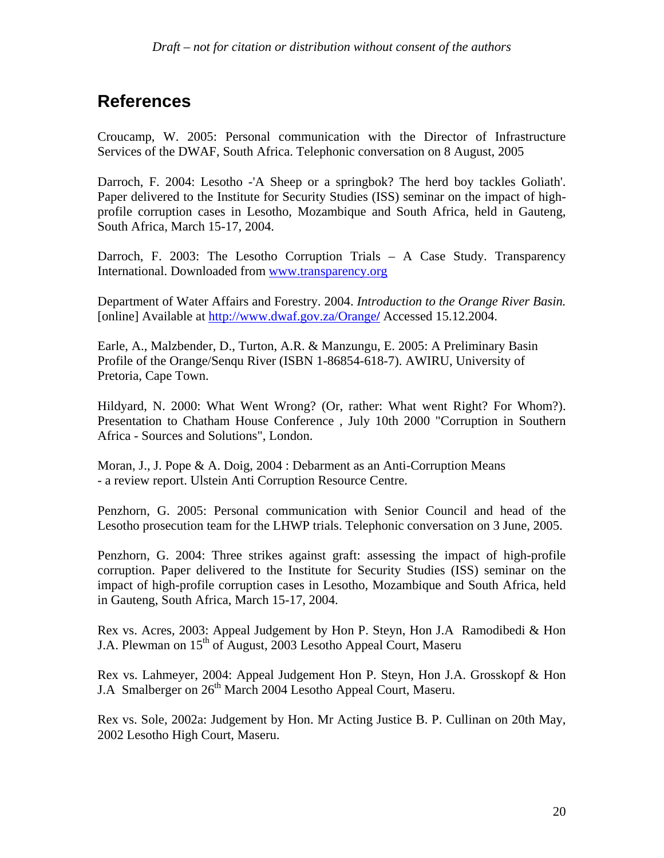## **References**

Croucamp, W. 2005: Personal communication with the Director of Infrastructure Services of the DWAF, South Africa. Telephonic conversation on 8 August, 2005

Darroch, F. 2004: Lesotho -'A Sheep or a springbok? The herd boy tackles Goliath'. Paper delivered to the Institute for Security Studies (ISS) seminar on the impact of highprofile corruption cases in Lesotho, Mozambique and South Africa, held in Gauteng, South Africa, March 15-17, 2004.

Darroch, F. 2003: The Lesotho Corruption Trials – A Case Study. Transparency International. Downloaded from www.transparency.org

Department of Water Affairs and Forestry. 2004. *Introduction to the Orange River Basin.*  [online] Available at http://www.dwaf.gov.za/Orange**/** Accessed 15.12.2004.

Earle, A., Malzbender, D., Turton, A.R. & Manzungu, E. 2005: A Preliminary Basin Profile of the Orange/Senqu River (ISBN 1-86854-618-7). AWIRU, University of Pretoria, Cape Town.

Hildyard, N. 2000: What Went Wrong? (Or, rather: What went Right? For Whom?). Presentation to Chatham House Conference , July 10th 2000 "Corruption in Southern Africa - Sources and Solutions", London.

Moran, J., J. Pope & A. Doig, 2004 : Debarment as an Anti-Corruption Means - a review report. Ulstein Anti Corruption Resource Centre.

Penzhorn, G. 2005: Personal communication with Senior Council and head of the Lesotho prosecution team for the LHWP trials. Telephonic conversation on 3 June, 2005.

Penzhorn, G. 2004: Three strikes against graft: assessing the impact of high-profile corruption. Paper delivered to the Institute for Security Studies (ISS) seminar on the impact of high-profile corruption cases in Lesotho, Mozambique and South Africa, held in Gauteng, South Africa, March 15-17, 2004.

Rex vs. Acres, 2003: Appeal Judgement by Hon P. Steyn, Hon J.A Ramodibedi & Hon J.A. Plewman on 15<sup>th</sup> of August, 2003 Lesotho Appeal Court, Maseru

Rex vs. Lahmeyer, 2004: Appeal Judgement Hon P. Steyn, Hon J.A. Grosskopf & Hon J.A Smalberger on 26<sup>th</sup> March 2004 Lesotho Appeal Court, Maseru.

Rex vs. Sole, 2002a: Judgement by Hon. Mr Acting Justice B. P. Cullinan on 20th May, 2002 Lesotho High Court, Maseru.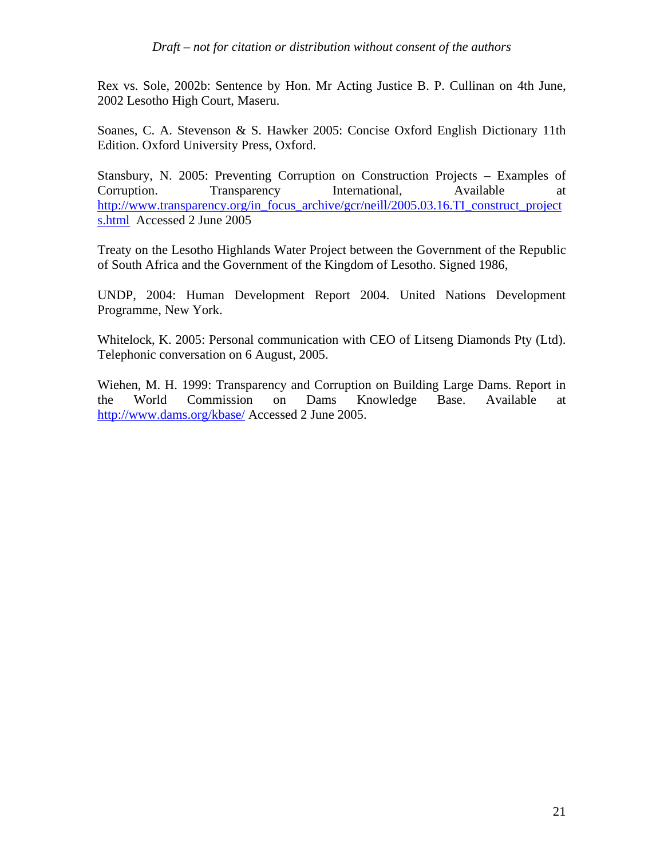Rex vs. Sole, 2002b: Sentence by Hon. Mr Acting Justice B. P. Cullinan on 4th June, 2002 Lesotho High Court, Maseru.

Soanes, C. A. Stevenson & S. Hawker 2005: Concise Oxford English Dictionary 11th Edition. Oxford University Press, Oxford.

Stansbury, N. 2005: Preventing Corruption on Construction Projects – Examples of Corruption. Transparency International, Available at http://www.transparency.org/in\_focus\_archive/gcr/neill/2005.03.16.TI\_construct\_project s.html Accessed 2 June 2005

Treaty on the Lesotho Highlands Water Project between the Government of the Republic of South Africa and the Government of the Kingdom of Lesotho. Signed 1986,

UNDP, 2004: Human Development Report 2004. United Nations Development Programme, New York.

Whitelock, K. 2005: Personal communication with CEO of Litseng Diamonds Pty (Ltd). Telephonic conversation on 6 August, 2005.

Wiehen, M. H. 1999: Transparency and Corruption on Building Large Dams. Report in the World Commission on Dams Knowledge Base. Available at http://www.dams.org/kbase/ Accessed 2 June 2005.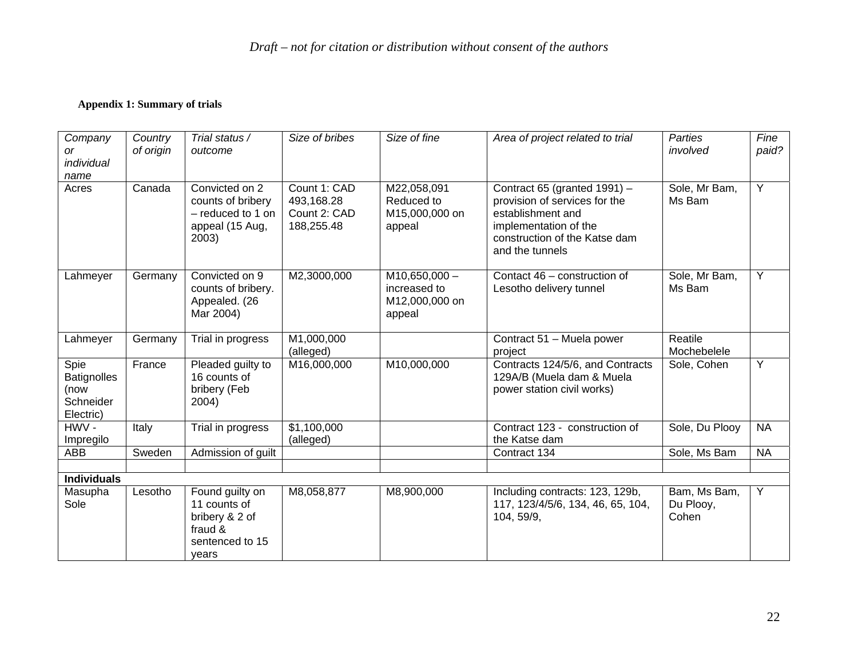#### **Appendix 1: Summary of trials**

| Company<br>or<br>individual<br>name                          | Country<br>of origin | Trial status /<br>outcome                                                                | Size of bribes                                           | Size of fine                                                | Area of project related to trial                                                                                                                                | <b>Parties</b><br>involved         | Fine<br>paid?  |
|--------------------------------------------------------------|----------------------|------------------------------------------------------------------------------------------|----------------------------------------------------------|-------------------------------------------------------------|-----------------------------------------------------------------------------------------------------------------------------------------------------------------|------------------------------------|----------------|
| Acres                                                        | Canada               | Convicted on 2<br>counts of bribery<br>- reduced to 1 on<br>appeal (15 Aug,<br>2003)     | Count 1: CAD<br>493,168.28<br>Count 2: CAD<br>188,255.48 | M22,058,091<br>Reduced to<br>M15,000,000 on<br>appeal       | Contract 65 (granted 1991) -<br>provision of services for the<br>establishment and<br>implementation of the<br>construction of the Katse dam<br>and the tunnels | Sole, Mr Bam,<br>Ms Bam            | $\overline{Y}$ |
| Lahmeyer                                                     | Germany              | Convicted on 9<br>counts of bribery.<br>Appealed. (26<br>Mar 2004)                       | M2,3000,000                                              | $M10,650,000 -$<br>increased to<br>M12,000,000 on<br>appeal | Contact 46 - construction of<br>Lesotho delivery tunnel                                                                                                         | Sole, Mr Bam,<br>Ms Bam            | $\overline{Y}$ |
| Lahmeyer                                                     | Germany              | Trial in progress                                                                        | M1,000,000<br>(alleged)                                  |                                                             | Contract 51 - Muela power<br>project                                                                                                                            | Reatile<br>Mochebelele             |                |
| Spie<br><b>Batignolles</b><br>(now<br>Schneider<br>Electric) | France               | Pleaded guilty to<br>16 counts of<br>bribery (Feb<br>2004)                               | M16,000,000                                              | M10,000,000                                                 | Contracts 124/5/6, and Contracts<br>129A/B (Muela dam & Muela<br>power station civil works)                                                                     | Sole, Cohen                        | $\overline{Y}$ |
| $HWV -$<br>Impregilo                                         | Italy                | Trial in progress                                                                        | \$1,100,000<br>(alleged)                                 |                                                             | Contract 123 - construction of<br>the Katse dam                                                                                                                 | Sole, Du Plooy                     | <b>NA</b>      |
| ABB                                                          | Sweden               | Admission of guilt                                                                       |                                                          |                                                             | Contract 134                                                                                                                                                    | Sole, Ms Bam                       | <b>NA</b>      |
| <b>Individuals</b>                                           |                      |                                                                                          |                                                          |                                                             |                                                                                                                                                                 |                                    |                |
| Masupha<br>Sole                                              | Lesotho              | Found guilty on<br>11 counts of<br>bribery & 2 of<br>fraud &<br>sentenced to 15<br>vears | M8,058,877                                               | M8,900,000                                                  | Including contracts: 123, 129b,<br>117, 123/4/5/6, 134, 46, 65, 104,<br>104, 59/9,                                                                              | Bam, Ms Bam,<br>Du Plooy,<br>Cohen | $\overline{Y}$ |